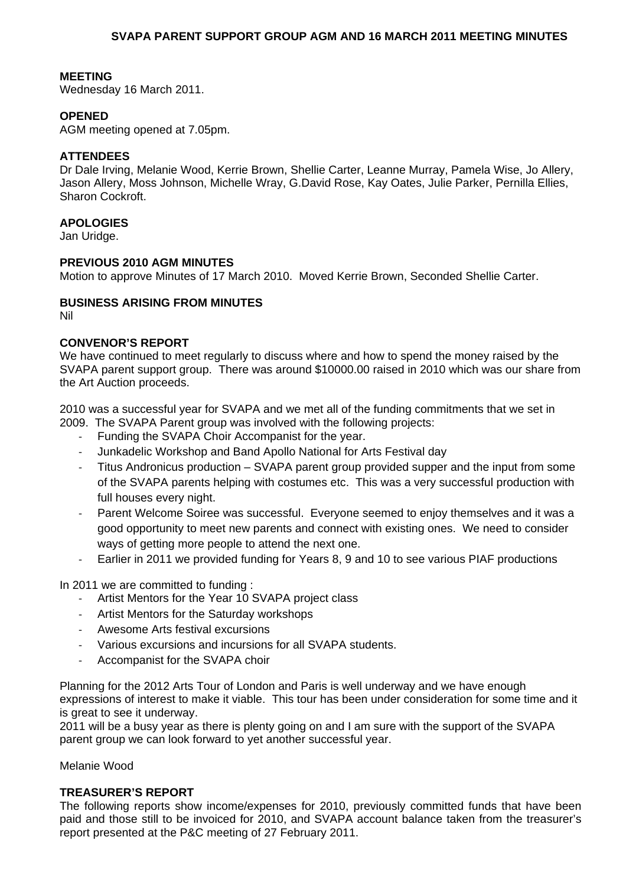#### **MEETING**

Wednesday 16 March 2011.

#### **OPENED**

AGM meeting opened at 7.05pm.

#### **ATTENDEES**

Dr Dale Irving, Melanie Wood, Kerrie Brown, Shellie Carter, Leanne Murray, Pamela Wise, Jo Allery, Jason Allery, Moss Johnson, Michelle Wray, G.David Rose, Kay Oates, Julie Parker, Pernilla Ellies, Sharon Cockroft.

#### **APOLOGIES**

Jan Uridge.

#### **PREVIOUS 2010 AGM MINUTES**

Motion to approve Minutes of 17 March 2010. Moved Kerrie Brown, Seconded Shellie Carter.

## **BUSINESS ARISING FROM MINUTES**

Nil

# **CONVENOR'S REPORT**

We have continued to meet regularly to discuss where and how to spend the money raised by the SVAPA parent support group. There was around \$10000.00 raised in 2010 which was our share from the Art Auction proceeds.

2010 was a successful year for SVAPA and we met all of the funding commitments that we set in 2009. The SVAPA Parent group was involved with the following projects:

- Funding the SVAPA Choir Accompanist for the year.
- ‐ Junkadelic Workshop and Band Apollo National for Arts Festival day
- ‐ Titus Andronicus production SVAPA parent group provided supper and the input from some of the SVAPA parents helping with costumes etc. This was a very successful production with full houses every night.
- ‐ Parent Welcome Soiree was successful. Everyone seemed to enjoy themselves and it was a good opportunity to meet new parents and connect with existing ones. We need to consider ways of getting more people to attend the next one.
- ‐ Earlier in 2011 we provided funding for Years 8, 9 and 10 to see various PIAF productions

In 2011 we are committed to funding :

- ‐ Artist Mentors for the Year 10 SVAPA project class
- ‐ Artist Mentors for the Saturday workshops
- ‐ Awesome Arts festival excursions
- ‐ Various excursions and incursions for all SVAPA students.
- ‐ Accompanist for the SVAPA choir

Planning for the 2012 Arts Tour of London and Paris is well underway and we have enough expressions of interest to make it viable. This tour has been under consideration for some time and it is great to see it underway.

2011 will be a busy year as there is plenty going on and I am sure with the support of the SVAPA parent group we can look forward to yet another successful year.

Melanie Wood

#### **TREASURER'S REPORT**

The following reports show income/expenses for 2010, previously committed funds that have been paid and those still to be invoiced for 2010, and SVAPA account balance taken from the treasurer's report presented at the P&C meeting of 27 February 2011.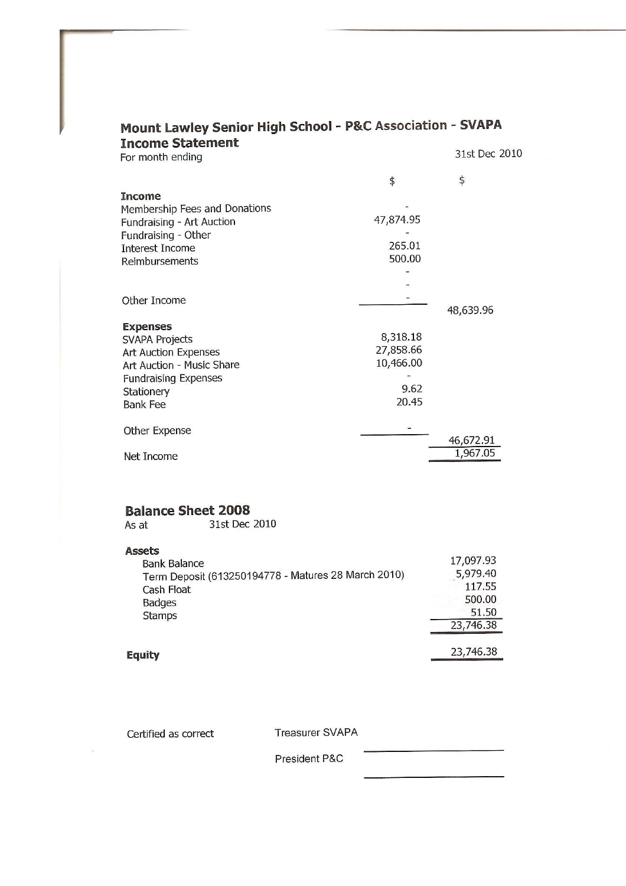| <b>Modiffeowley School High School Petert</b> |           |               |
|-----------------------------------------------|-----------|---------------|
| <b>Income Statement</b><br>For month ending   |           | 31st Dec 2010 |
|                                               |           |               |
|                                               | \$        | \$            |
| <b>Income</b>                                 |           |               |
| Membership Fees and Donations                 |           |               |
| Fundraising - Art Auction                     | 47,874.95 |               |
| Fundraising - Other                           |           |               |
| <b>Interest Income</b>                        | 265.01    |               |
| Reimbursements                                | 500.00    |               |
|                                               |           |               |
|                                               |           |               |
| Other Income                                  |           |               |
|                                               |           | 48,639.96     |
| <b>Expenses</b>                               |           |               |
| <b>SVAPA Projects</b>                         | 8,318.18  |               |
| <b>Art Auction Expenses</b>                   | 27,858.66 |               |
| Art Auction - Music Share                     | 10,466.00 |               |
| <b>Fundraising Expenses</b>                   |           |               |
| Stationery                                    | 9.62      |               |
| <b>Bank Fee</b>                               | 20.45     |               |
|                                               |           |               |
| Other Expense                                 |           |               |
|                                               |           | 46,672.91     |
| Net Income                                    |           | 1,967.05      |
|                                               |           |               |
|                                               |           |               |
|                                               |           |               |
| <b>Balance Sheet 2008</b>                     |           |               |
| 31st Dec 2010<br>As at                        |           |               |

# Mount Lawley Senior High School - P&C Association - SVAPA

As at

**Assets** 17,097.93 **Bank Balance** Term Deposit (613250194778 - Matures 28 March 2010) 5,979.40 117.55 Cash Float 500.00 **Badges** 51.50 Stamps 23,746.38 23,746.38

**Equity** 

Certified as correct

**Treasurer SVAPA** 

President P&C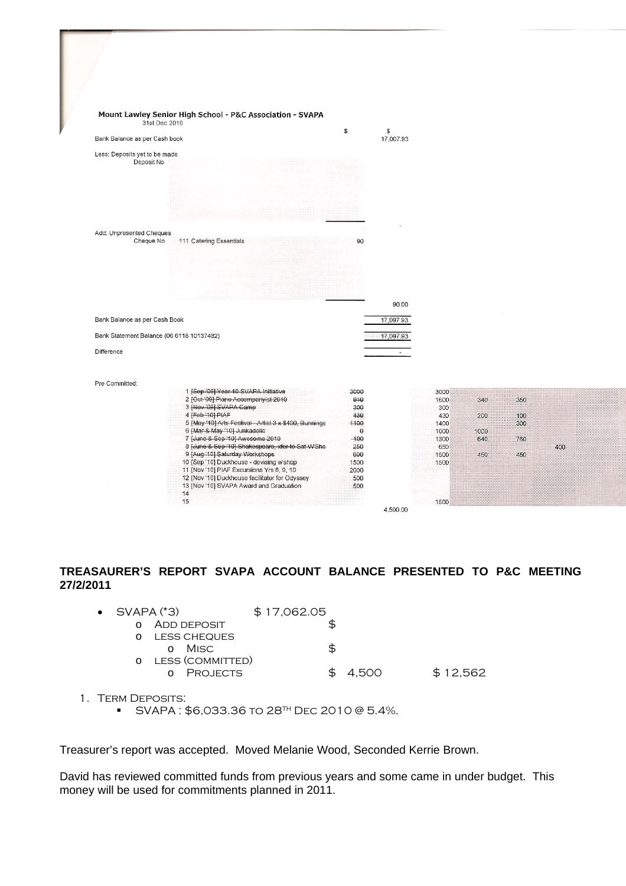|                                           | Mount Lawley Senior High School - P&C Association - SVAPA                   |              |              |             |      |     |     |  |
|-------------------------------------------|-----------------------------------------------------------------------------|--------------|--------------|-------------|------|-----|-----|--|
| 31st Dec 2010                             |                                                                             |              |              |             |      |     |     |  |
|                                           |                                                                             | $\mathbb{S}$ | $\mathbb{S}$ |             |      |     |     |  |
| Bank Balance as per Cash book             |                                                                             |              | 17,007.93    |             |      |     |     |  |
| Less: Deposits yet to be made             |                                                                             |              |              |             |      |     |     |  |
| Deposit No                                |                                                                             |              |              |             |      |     |     |  |
|                                           |                                                                             |              |              |             |      |     |     |  |
|                                           |                                                                             |              |              |             |      |     |     |  |
|                                           |                                                                             |              |              |             |      |     |     |  |
|                                           |                                                                             |              |              |             |      |     |     |  |
|                                           |                                                                             |              |              |             |      |     |     |  |
|                                           |                                                                             |              |              |             |      |     |     |  |
| Add: Unpresented Cheques                  |                                                                             |              |              |             |      |     |     |  |
| Cheque No                                 | 111 Catering Essentials                                                     | 90           |              |             |      |     |     |  |
|                                           |                                                                             |              |              |             |      |     |     |  |
|                                           |                                                                             |              |              |             |      |     |     |  |
|                                           |                                                                             |              |              |             |      |     |     |  |
|                                           |                                                                             |              |              |             |      |     |     |  |
|                                           |                                                                             |              |              |             |      |     |     |  |
|                                           |                                                                             |              |              |             |      |     |     |  |
|                                           |                                                                             |              | 90.00        |             |      |     |     |  |
| Bank Balance as per Cash Book             |                                                                             |              | 17,097.93    |             |      |     |     |  |
| Bank Statement Balance (06 6118 10137482) |                                                                             |              | 17,097.93    |             |      |     |     |  |
|                                           |                                                                             |              |              |             |      |     |     |  |
| Difference                                |                                                                             |              | $\mathbf{r}$ |             |      |     |     |  |
|                                           |                                                                             |              |              |             |      |     |     |  |
|                                           |                                                                             |              |              |             |      |     |     |  |
| Pre Committed:                            |                                                                             |              |              |             |      |     |     |  |
|                                           | 1 [Sep '09] Year 10 SVAPA Initiative<br>2 [Oct '09] Piano Accompanyist 2010 | 3000         |              | 3000        |      |     |     |  |
|                                           | 3 [Nov '09] SVAPA Camp                                                      | 910<br>300   |              | 1600<br>300 | 340  | 350 |     |  |
|                                           | 4 [Feb.'10] PIAF                                                            | 430          |              | 430         | 200  | 100 |     |  |
|                                           | 5 [May '10] Arts Festival-Artist 3 x \$400, Bunnings                        | 4400         |              | 1400        |      | 300 |     |  |
|                                           | 6 [Mar & May '10] Junkadelie                                                | $\Theta$     |              | 1000        | 1000 |     |     |  |
|                                           | 7 [June & Sep '10] Awesome 2010                                             | $-100$       |              | 1300        | 640  | 760 |     |  |
|                                           | 8 [June & Sep '10] Shakespeare, xfer to Sat WShe                            | 250          |              | 650         |      |     | 400 |  |
|                                           | 9 [Aug '10] Saturday Workshops<br>10 [Sep '10] Duckhouse - devising w'shop  | 600          |              | 1500        | 450  | 450 |     |  |
|                                           | 11 [Nov '10] PIAF Excursions Yrs 8, 9, 10                                   | 1500<br>2000 |              | 1500        |      |     |     |  |
|                                           | 12 [Nov '10] Duckhouse facilitator for Odyssey                              | 500          |              |             |      |     |     |  |
|                                           | 13 [Nov '10] SVAPA Award and Graduation                                     | 500          |              |             |      |     |     |  |
|                                           |                                                                             |              |              |             |      |     |     |  |
|                                           | 14                                                                          |              |              |             |      |     |     |  |
|                                           | 15                                                                          |              | 4,500.00     | 1500        |      |     |     |  |

# **TREASAURER'S REPORT SVAPA ACCOUNT BALANCE PRESENTED TO P&C MEETING 27/2/2011**

| $\bullet$ SVAPA $(3)$ |                                     | \$17,062.05 |       |          |
|-----------------------|-------------------------------------|-------------|-------|----------|
|                       | ADD DEPOSIT                         |             |       |          |
|                       | LESS CHEQUES<br>o Misc              |             |       |          |
|                       | LESS (COMMITTED)<br><b>PROJECTS</b> |             | 4.500 | \$12,562 |

- 1. Term Deposits:
	- $\blacktriangleright$  SVAPA : \$6,033.36 to 28<sup>TH</sup> DEC 2010 @ 5.4%.

Treasurer's report was accepted. Moved Melanie Wood, Seconded Kerrie Brown.

David has reviewed committed funds from previous years and some came in under budget. This money will be used for commitments planned in 2011.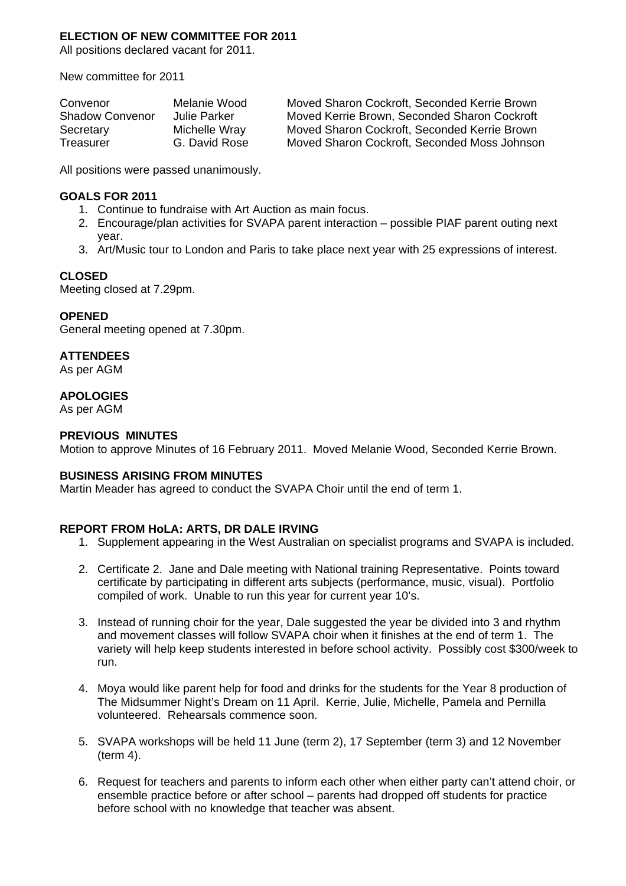## **ELECTION OF NEW COMMITTEE FOR 2011**

All positions declared vacant for 2011.

New committee for 2011

| Convenor               | Melanie Wood  | Moved Sharon Cockroft, Seconded Kerrie Brown |
|------------------------|---------------|----------------------------------------------|
| <b>Shadow Convenor</b> | Julie Parker  | Moved Kerrie Brown, Seconded Sharon Cockroft |
| Secretary              | Michelle Wray | Moved Sharon Cockroft, Seconded Kerrie Brown |
| Treasurer              | G. David Rose | Moved Sharon Cockroft, Seconded Moss Johnson |

All positions were passed unanimously.

#### **GOALS FOR 2011**

- 1. Continue to fundraise with Art Auction as main focus.
- 2. Encourage/plan activities for SVAPA parent interaction possible PIAF parent outing next year.
- 3. Art/Music tour to London and Paris to take place next year with 25 expressions of interest.

## **CLOSED**

Meeting closed at 7.29pm.

## **OPENED**

General meeting opened at 7.30pm.

# **ATTENDEES**

As per AGM

## **APOLOGIES**

As per AGM

# **PREVIOUS MINUTES**

Motion to approve Minutes of 16 February 2011. Moved Melanie Wood, Seconded Kerrie Brown.

## **BUSINESS ARISING FROM MINUTES**

Martin Meader has agreed to conduct the SVAPA Choir until the end of term 1.

## **REPORT FROM HoLA: ARTS, DR DALE IRVING**

- 1. Supplement appearing in the West Australian on specialist programs and SVAPA is included.
- 2. Certificate 2. Jane and Dale meeting with National training Representative. Points toward certificate by participating in different arts subjects (performance, music, visual). Portfolio compiled of work. Unable to run this year for current year 10's.
- 3. Instead of running choir for the year, Dale suggested the year be divided into 3 and rhythm and movement classes will follow SVAPA choir when it finishes at the end of term 1. The variety will help keep students interested in before school activity. Possibly cost \$300/week to run.
- 4. Moya would like parent help for food and drinks for the students for the Year 8 production of The Midsummer Night's Dream on 11 April. Kerrie, Julie, Michelle, Pamela and Pernilla volunteered. Rehearsals commence soon.
- 5. SVAPA workshops will be held 11 June (term 2), 17 September (term 3) and 12 November (term 4).
- 6. Request for teachers and parents to inform each other when either party can't attend choir, or ensemble practice before or after school – parents had dropped off students for practice before school with no knowledge that teacher was absent.